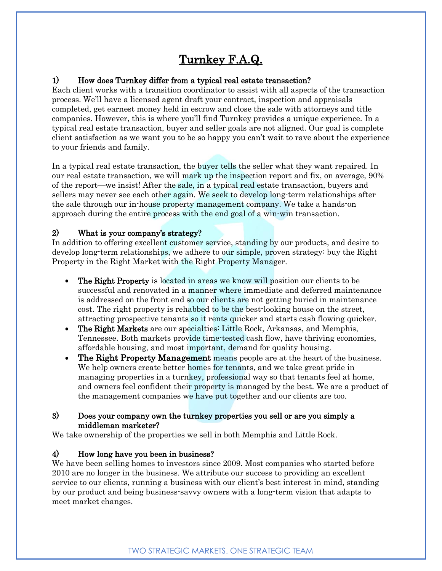# Turnkey F.A.Q.

# 1) How does Turnkey differ from a typical real estate transaction?

Each client works with a transition coordinator to assist with all aspects of the transaction process. We'll have a licensed agent draft your contract, inspection and appraisals completed, get earnest money held in escrow and close the sale with attorneys and title companies. However, this is where you'll find Turnkey provides a unique experience. In a typical real estate transaction, buyer and seller goals are not aligned. Our goal is complete client satisfaction as we want you to be so happy you can't wait to rave about the experience to your friends and family.

In a typical real estate transaction, the buyer tells the seller what they want repaired. In our real estate transaction, we will mark up the inspection report and fix, on average, 90% of the report—we insist! After the sale, in a typical real estate transaction, buyers and sellers may never see each other again. We seek to develop long-term relationships after the sale through our in-house property management company. We take a hands-on approach during the entire process with the end goal of a win-win transaction.

# 2) What is your company's strategy?

In addition to offering excellent customer service, standing by our products, and desire to develop long-term relationships, we adhere to our simple, proven strategy: buy the Right Property in the Right Market with the Right Property Manager.

- The Right Property is located in areas we know will position our clients to be successful and renovated in a manner where immediate and deferred maintenance is addressed on the front end so our clients are not getting buried in maintenance cost. The right property is rehabbed to be the best-looking house on the street, attracting prospective tenants so it rents quicker and starts cash flowing quicker.
- The Right Markets are our specialties: Little Rock, Arkansas, and Memphis, Tennessee. Both markets provide time-tested cash flow, have thriving economies, affordable housing, and most important, demand for quality housing.
- The Right Property Management means people are at the heart of the business. We help owners create better homes for tenants, and we take great pride in managing properties in a turnkey, professional way so that tenants feel at home, and owners feel confident their property is managed by the best. We are a product of the management companies we have put together and our clients are too.

#### 3) Does your company own the turnkey properties you sell or are you simply a middleman marketer?

We take ownership of the properties we sell in both Memphis and Little Rock.

## 4) How long have you been in business?

We have been selling homes to investors since 2009. Most companies who started before 2010 are no longer in the business. We attribute our success to providing an excellent service to our clients, running a business with our client's best interest in mind, standing by our product and being business-savvy owners with a long-term vision that adapts to meet market changes.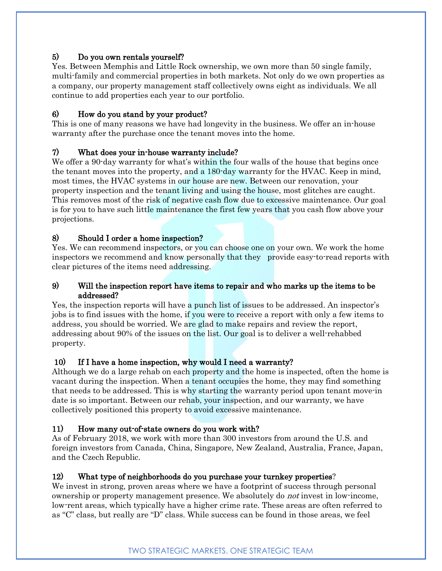# 5) Do you own rentals yourself?

Yes. Between Memphis and Little Rock ownership, we own more than 50 single family, multi-family and commercial properties in both markets. Not only do we own properties as a company, our property management staff collectively owns eight as individuals. We all continue to add properties each year to our portfolio.

# 6) How do you stand by your product?

This is one of many reasons we have had longevity in the business. We offer an in-house warranty after the purchase once the tenant moves into the home.

# 7) What does your in-house warranty include?

We offer a 90-day warranty for what's within the four walls of the house that begins once the tenant moves into the property, and a 180-day warranty for the HVAC. Keep in mind, most times, the HVAC systems in our house are new. Between our renovation, your property inspection and the tenant living and using the house, most glitches are caught. This removes most of the risk of negative cash flow due to excessive maintenance. Our goal is for you to have such little maintenance the first few years that you cash flow above your projections.

# 8) Should I order a home inspection?

Yes. We can recommend inspectors, or you can choose one on your own. We work the home inspectors we recommend and know personally that they provide easy-to-read reports with clear pictures of the items need addressing.

## 9) Will the inspection report have items to repair and who marks up the items to be addressed?

Yes, the inspection reports will have a punch list of issues to be addressed. An inspector's jobs is to find issues with the home, if you were to receive a report with only a few items to address, you should be worried. We are glad to make repairs and review the report, addressing about 90% of the issues on the list. Our goal is to deliver a well-rehabbed property.

## 10) If I have a home inspection, why would I need a warranty?

Although we do a large rehab on each property and the home is inspected, often the home is vacant during the inspection. When a tenant occupies the home, they may find something that needs to be addressed. This is why starting the warranty period upon tenant move-in date is so important. Between our rehab, your inspection, and our warranty, we have collectively positioned this property to avoid excessive maintenance.

## 11) How many out-of-state owners do you work with?

As of February 2018, we work with more than 300 investors from around the U.S. and foreign investors from Canada, China, Singapore, New Zealand, Australia, France, Japan, and the Czech Republic.

## 12) What type of neighborhoods do you purchase your turnkey properties?

We invest in strong, proven areas where we have a footprint of success through personal ownership or property management presence. We absolutely do not invest in low-income, low-rent areas, which typically have a higher crime rate. These areas are often referred to as "C" class, but really are "D" class. While success can be found in those areas, we feel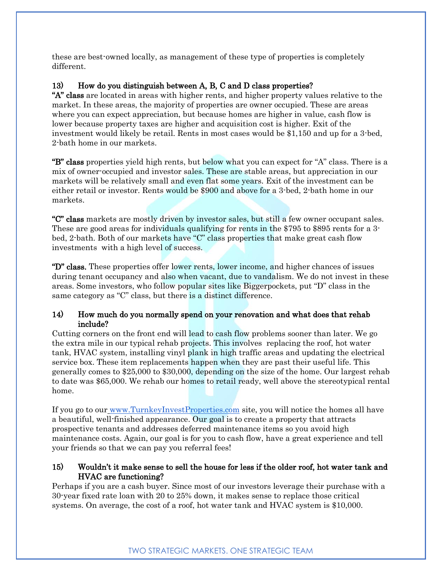these are best-owned locally, as management of these type of properties is completely different.

## 13) How do you distinguish between A, B, C and D class properties?

"A" class are located in areas with higher rents, and higher property values relative to the market. In these areas, the majority of properties are owner occupied. These are areas where you can expect appreciation, but because homes are higher in value, cash flow is lower because property taxes are higher and acquisition cost is higher. Exit of the investment would likely be retail. Rents in most cases would be \$1,150 and up for a 3-bed, 2-bath home in our markets.

"B" class properties yield high rents, but below what you can expect for "A" class. There is a mix of owner-occupied and investor sales. These are stable areas, but appreciation in our markets will be relatively small and even flat some years. Exit of the investment can be either retail or investor. Rents would be \$900 and above for a 3-bed, 2-bath home in our markets.

"C" class markets are mostly driven by investor sales, but still a few owner occupant sales. These are good areas for individuals qualifying for rents in the \$795 to \$895 rents for a 3 bed, 2-bath. Both of our markets have "C" class properties that make great cash flow investments with a high level of success.

"D" class. These properties offer lower rents, lower income, and higher chances of issues during tenant occupancy and also when vacant, due to vandalism. We do not invest in these areas. Some investors, who follow popular sites like Biggerpockets, put "D" class in the same category as "C" class, but there is a distinct difference.

## 14) How much do you normally spend on your renovation and what does that rehab include?

Cutting corners on the front end will lead to cash flow problems sooner than later. We go the extra mile in our typical rehab projects. This involves replacing the roof, hot water tank, HVAC system, installing vinyl plank in high traffic areas and updating the electrical service box. These item replacements happen when they are past their useful life. This generally comes to \$25,000 to \$30,000, depending on the size of the home. Our largest rehab to date was \$65,000. We rehab our homes to retail ready, well above the stereotypical rental home.

If you go to our [www.TurnkeyInvestProperties.com](http://www.turnkeyinvestproperties.com/) site, you will notice the homes all have a beautiful, well-finished appearance. Our goal is to create a property that attracts prospective tenants and addresses deferred maintenance items so you avoid high maintenance costs. Again, our goal is for you to cash flow, have a great experience and tell your friends so that we can pay you referral fees!

## 15) Wouldn't it make sense to sell the house for less if the older roof, hot water tank and HVAC are functioning?

Perhaps if you are a cash buyer. Since most of our investors leverage their purchase with a 30-year fixed rate loan with 20 to 25% down, it makes sense to replace those critical systems. On average, the cost of a roof, hot water tank and HVAC system is \$10,000.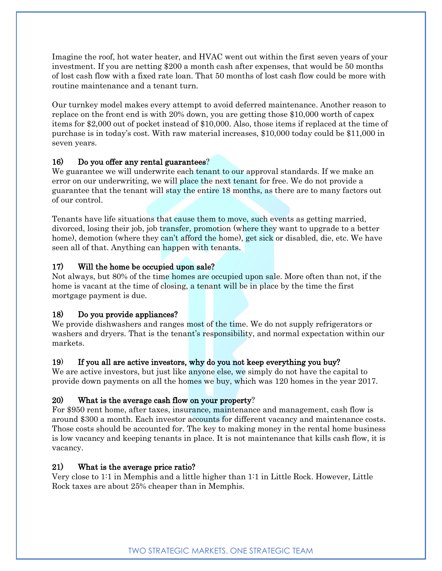Imagine the roof, hot water heater, and HVAC went out within the first seven years of your investment. If you are netting \$200 a month cash after expenses, that would be 50 months of lost cash flow with a fixed rate loan. That 50 months of lost cash flow could be more with routine maintenance and a tenant turn.

Our turnkey model makes every attempt to avoid deferred maintenance. Another reason to replace on the front end is with 20% down, you are getting those \$10,000 worth of capex items for \$2,000 out of pocket instead of \$10,000. Also, those items if replaced at the time of purchase is in today's cost. With raw material increases, \$10,000 today could be \$11,000 in seven years.

## 16) Do you offer any rental guarantees?

We guarantee we will underwrite each tenant to our approval standards. If we make an error on our underwriting, we will place the next tenant for free. We do not provide a guarantee that the tenant will stay the entire 18 months, as there are to many factors out of our control.

Tenants have life situations that cause them to move, such events as getting married, divorced, losing their job, job transfer, promotion (where they want to upgrade to a better home), demotion (where they can't afford the home), get sick or disabled, die, etc. We have seen all of that. Anything can happen with tenants.

## 17) Will the home be occupied upon sale?

Not always, but 80% of the time homes are occupied upon sale. More often than not, if the home is vacant at the time of closing, a tenant will be in place by the time the first mortgage payment is due.

## 18) Do you provide appliances?

We provide dishwashers and ranges most of the time. We do not supply refrigerators or washers and dryers. That is the tenant's responsibility, and normal expectation within our markets.

#### 19) If you all are active investors, why do you not keep everything you buy?

We are active investors, but just like anyone else, we simply do not have the capital to provide down payments on all the homes we buy, which was 120 homes in the year 2017.

#### 20) What is the average cash flow on your property?

For \$950 rent home, after taxes, insurance, maintenance and management, cash flow is around \$300 a month. Each investor accounts for different vacancy and maintenance costs. Those costs should be accounted for. The key to making money in the rental home business is low vacancy and keeping tenants in place. It is not maintenance that kills cash flow, it is vacancy.

#### 21) What is the average price ratio?

Very close to 1:1 in Memphis and a little higher than 1:1 in Little Rock. However, Little Rock taxes are about 25% cheaper than in Memphis.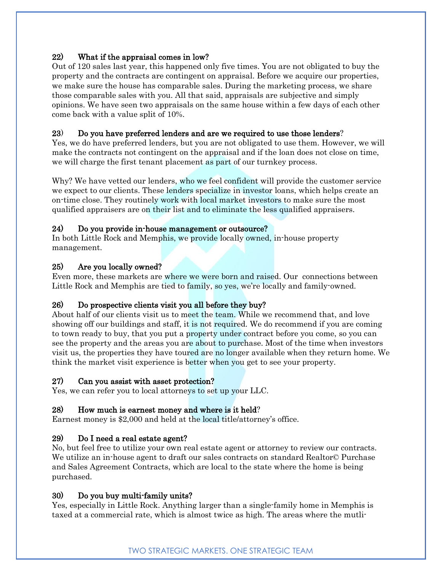## 22) What if the appraisal comes in low?

Out of 120 sales last year, this happened only five times. You are not obligated to buy the property and the contracts are contingent on appraisal. Before we acquire our properties, we make sure the house has comparable sales. During the marketing process, we share those comparable sales with you. All that said, appraisals are subjective and simply opinions. We have seen two appraisals on the same house within a few days of each other come back with a value split of 10%.

## 23) Do you have preferred lenders and are we required to use those lenders?

Yes, we do have preferred lenders, but you are not obligated to use them. However, we will make the contracts not contingent on the appraisal and if the loan does not close on time, we will charge the first tenant placement as part of our turnkey process.

Why? We have vetted our lenders, who we feel confident will provide the customer service we expect to our clients. These lenders specialize in investor loans, which helps create an on-time close. They routinely work with local market investors to make sure the most qualified appraisers are on their list and to eliminate the less qualified appraisers.

## 24) Do you provide in-house management or outsource?

In both Little Rock and Memphis, we provide locally owned, in-house property management.

## 25) Are you locally owned?

Even more, these markets are where we were born and raised. Our connections between Little Rock and Memphis are tied to family, so yes, we're locally and family-owned.

## 26) Do prospective clients visit you all before they buy?

About half of our clients visit us to meet the team. While we recommend that, and love showing off our buildings and staff, it is not required. We do recommend if you are coming to town ready to buy, that you put a property under contract before you come, so you can see the property and the areas you are about to purchase. Most of the time when investors visit us, the properties they have toured are no longer available when they return home. We think the market visit experience is better when you get to see your property.

#### 27) Can you assist with asset protection?

Yes, we can refer you to local attorneys to set up your LLC.

## 28) How much is earnest money and where is it held?

Earnest money is \$2,000 and held at the local title/attorney's office.

## 29) Do I need a real estate agent?

No, but feel free to utilize your own real estate agent or attorney to review our contracts. We utilize an in-house agent to draft our sales contracts on standard Realtor© Purchase and Sales Agreement Contracts, which are local to the state where the home is being purchased.

#### 30) Do you buy multi-family units?

Yes, especially in Little Rock. Anything larger than a single-family home in Memphis is taxed at a commercial rate, which is almost twice as high. The areas where the mutli